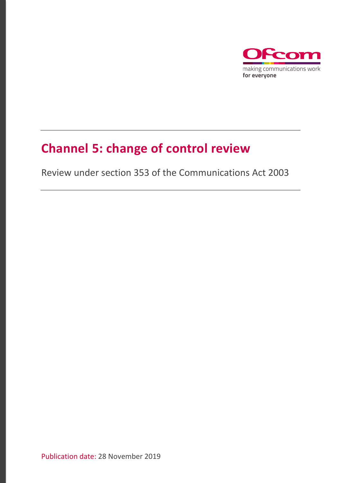

# **Channel 5: change of control review**

Review under section 353 of the Communications Act 2003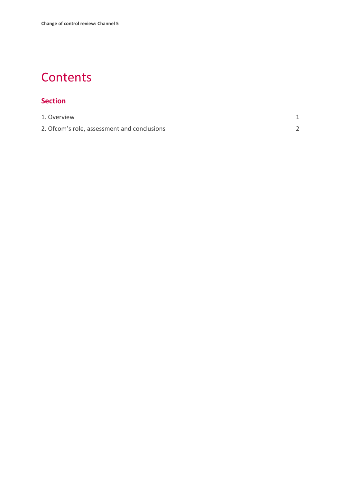# **Contents**

### **Section**

| 1. Overview                                  |  |
|----------------------------------------------|--|
| 2. Of com's role, assessment and conclusions |  |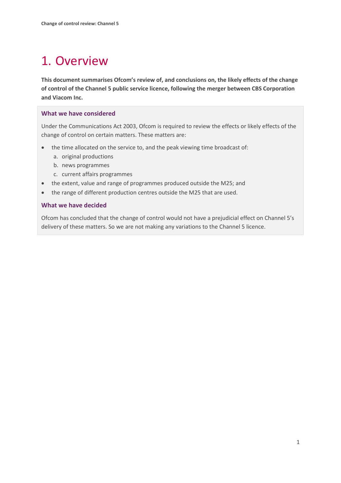# <span id="page-2-0"></span>1. Overview

**This document summarises Ofcom's review of, and conclusions on, the likely effects of the change of control of the Channel 5 public service licence, following the merger between CBS Corporation and Viacom Inc.**

#### **What we have considered**

Under the Communications Act 2003, Ofcom is required to review the effects or likely effects of the change of control on certain matters. These matters are:

- the time allocated on the service to, and the peak viewing time broadcast of:
	- a. original productions
	- b. news programmes
	- c. current affairs programmes
- the extent, value and range of programmes produced outside the M25; and
- the range of different production centres outside the M25 that are used.

#### **What we have decided**

Ofcom has concluded that the change of control would not have a prejudicial effect on Channel 5's delivery of these matters. So we are not making any variations to the Channel 5 licence.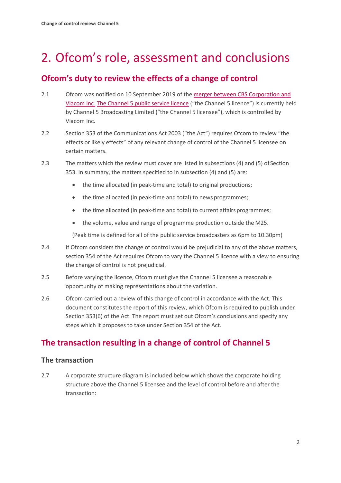# <span id="page-3-0"></span>2. Ofcom's role, assessment and conclusions

### **Ofcom's duty to review the effects of a change of control**

- 2.1 Ofcom was notified on 10 September 2019 of th[e merger between CBS Corporation and](https://www.sec.gov/Archives/edgar/data/813828/000119312519268741/d818081d8k.htm)  [Viacom Inc.](https://www.sec.gov/Archives/edgar/data/813828/000119312519268741/d818081d8k.htm) [The Channel 5 public service licence](https://www.ofcom.org.uk/__data/assets/pdf_file/0020/40376/channel-5-attachment-variation.pdf) ("the Channel 5 licence") is currently held by Channel 5 Broadcasting Limited ("the Channel 5 licensee"), which is controlled by Viacom Inc.
- 2.2 Section 353 of the Communications Act 2003 ("the Act") requires Ofcom to review "the effects or likely effects" of any relevant change of control of the Channel 5 licensee on certain matters.
- 2.3 The matters which the review must cover are listed in subsections (4) and (5) ofSection 353. In summary, the matters specified to in subsection (4) and (5) are:
	- the time allocated (in peak-time and total) to original productions;
	- the time allocated (in peak-time and total) to news programmes;
	- the time allocated (in peak-time and total) to current affairs programmes;
	- the volume, value and range of programme production outside the M25.

(Peak time is defined for all of the public service broadcasters as 6pm to 10.30pm)

- 2.4 If Ofcom considers the change of control would be prejudicial to any of the above matters, section 354 of the Act requires Ofcom to vary the Channel 5 licence with a view to ensuring the change of control is not prejudicial.
- 2.5 Before varying the licence, Ofcom must give the Channel 5 licensee a reasonable opportunity of making representations about the variation.
- 2.6 Ofcom carried out a review of this change of control in accordance with the Act. This document constitutes the report of this review, which Ofcom is required to publish under Section 353(6) of the Act. The report must set out Ofcom's conclusions and specify any steps which it proposes to take under Section 354 of the Act.

## **The transaction resulting in a change of control of Channel 5**

#### **The transaction**

2.7 A corporate structure diagram is included below which shows the corporate holding structure above the Channel 5 licensee and the level of control before and after the transaction: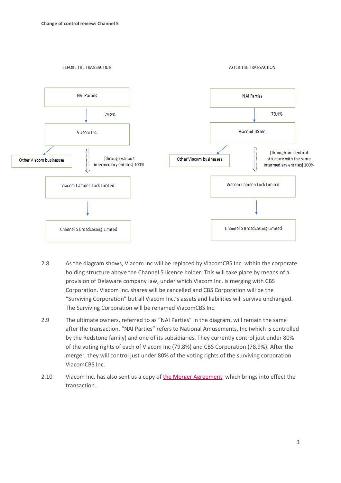

- 2.8 As the diagram shows, Viacom Inc will be replaced by ViacomCBS Inc. within the corporate holding structure above the Channel 5 licence holder. This will take place by means of a provision of Delaware company law, under which Viacom Inc. is merging with CBS Corporation. Viacom Inc. shares will be cancelled and CBS Corporation will be the "Surviving Corporation" but all Viacom Inc.'s assets and liabilities will survive unchanged. The Surviving Corporation will be renamed ViacomCBS Inc.
- 2.9 The ultimate owners, referred to as "NAI Parties" in the diagram, will remain the same after the transaction. "NAI Parties" refers to National Amusements, Inc (which is controlled by the Redstone family) and one of its subsidiaries. They currently control just under 80% of the voting rights of each of Viacom Inc (79.8%) and CBS Corporation (78.9%). After the merger, they will control just under 80% of the voting rights of the surviving corporation ViacomCBS Inc.
- 2.10 Viacom Inc. has also sent us a copy o[f the Merger Agreement,](https://ir.viacom.com/static-files/9fa46637-b22c-44f3-90c3-c365f86994e9) which brings into effect the transaction.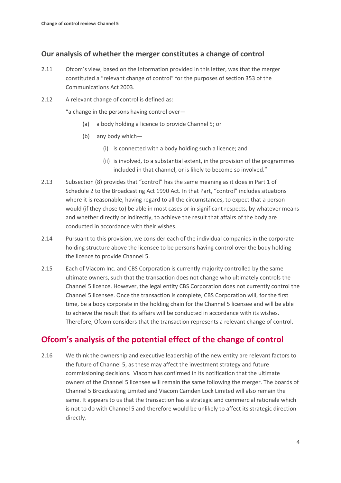#### **Our analysis of whether the merger constitutes a change of control**

- 2.11 Ofcom's view, based on the information provided in this letter, was that the merger constituted a "relevant change of control" for the purposes of section 353 of the Communications Act 2003.
- 2.12 A relevant change of control is defined as:

"a change in the persons having control over—

- (a) a body holding a licence to provide Channel 5; or
- (b) any body which—
	- (i) is connected with a body holding such a licence; and
	- (ii) is involved, to a substantial extent, in the provision of the programmes included in that channel, or is likely to become so involved."
- 2.13 Subsection (8) provides that "control" has the same meaning as it does in Part 1 of Schedule 2 to the Broadcasting Act 1990 Act. In that Part, "control" includes situations where it is reasonable, having regard to all the circumstances, to expect that a person would (if they chose to) be able in most cases or in significant respects, by whatever means and whether directly or indirectly, to achieve the result that affairs of the body are conducted in accordance with their wishes.
- 2.14 Pursuant to this provision, we consider each of the individual companies in the corporate holding structure above the licensee to be persons having control over the body holding the licence to provide Channel 5.
- 2.15 Each of Viacom Inc. and CBS Corporation is currently majority controlled by the same ultimate owners, such that the transaction does not change who ultimately controls the Channel 5 licence. However, the legal entity CBS Corporation does not currently control the Channel 5 licensee. Once the transaction is complete, CBS Corporation will, for the first time, be a body corporate in the holding chain for the Channel 5 licensee and will be able to achieve the result that its affairs will be conducted in accordance with its wishes. Therefore, Ofcom considers that the transaction represents a relevant change of control.

### **Ofcom's analysis of the potential effect of the change of control**

2.16 We think the ownership and executive leadership of the new entity are relevant factors to the future of Channel 5, as these may affect the investment strategy and future commissioning decisions. Viacom has confirmed in its notification that the ultimate owners of the Channel 5 licensee will remain the same following the merger. The boards of Channel 5 Broadcasting Limited and Viacom Camden Lock Limited will also remain the same. It appears to us that the transaction has a strategic and commercial rationale which is not to do with Channel 5 and therefore would be unlikely to affect its strategic direction directly.